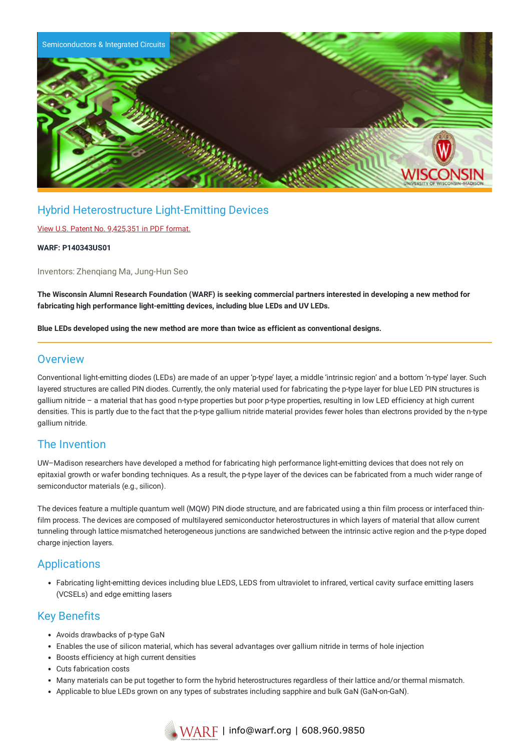

## Hybrid Heterostructure Light-Emitting Devices

#### View U.S. Patent No. [9,425,351](https://www.warf.org/wp-content/uploads/technologies/ipstatus/P140343US01.PDF) in PDF format.

#### **WARF: P140343US01**

Inventors: Zhenqiang Ma, Jung-Hun Seo

The Wisconsin Alumni Research Foundation (WARF) is seeking commercial partners interested in developing a new method for **fabricating high performance light-emitting devices, including blue LEDs and UV LEDs.**

**Blue LEDs developed using the new method are more than twice as efficient as conventional designs.**

#### **Overview**

Conventional light-emitting diodes (LEDs) are made of an upper 'p-type' layer, a middle 'intrinsic region' and a bottom 'n-type' layer. Such layered structures are called PIN diodes. Currently, the only material used for fabricating the p-type layer for blue LED PIN structures is gallium nitride – a material that has good n-type properties but poor p-type properties, resulting in low LED efficiency at high current densities. This is partly due to the fact that the p-type gallium nitride material provides fewer holes than electrons provided by the n-type gallium nitride.

## The Invention

UW–Madison researchers have developed a method for fabricating high performance light-emitting devices that does not rely on epitaxial growth or wafer bonding techniques. As a result, the p-type layer of the devices can be fabricated from a much wider range of semiconductor materials (e.g., silicon).

The devices feature a multiple quantum well (MQW) PIN diode structure, and are fabricated using a thin film process or interfaced thinfilm process. The devices are composed of multilayered semiconductor heterostructures in which layers of material that allow current tunneling through lattice mismatched heterogeneous junctions are sandwiched between the intrinsic active region and the p-type doped charge injection layers.

## Applications

Fabricating light-emitting devices including blue LEDS, LEDS from ultraviolet to infrared, vertical cavity surface emitting lasers (VCSELs) and edge emitting lasers

## Key Benefits

- Avoids drawbacks of p-type GaN
- Enables the use of silicon material, which has several advantages over gallium nitride in terms of hole injection
- Boosts efficiency at high current densities
- Cuts fabrication costs
- Many materials can be put together to form the hybrid heterostructures regardless of their lattice and/or thermal mismatch.
- Applicable to blue LEDs grown on any types of substrates including sapphire and bulk GaN (GaN-on-GaN).